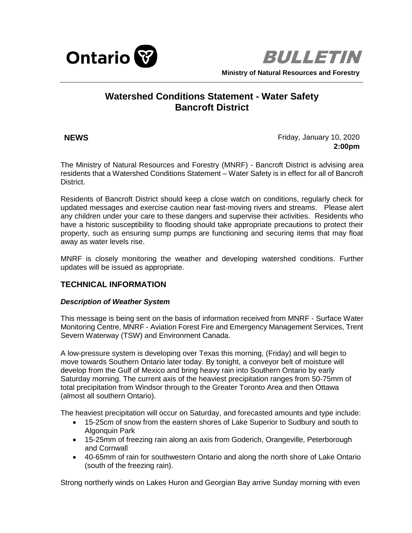



# **Watershed Conditions Statement - Water Safety Bancroft District**

**NEWS** Friday, January 10, 2020 **2:00pm**

The Ministry of Natural Resources and Forestry (MNRF) - Bancroft District is advising area residents that a Watershed Conditions Statement – Water Safety is in effect for all of Bancroft District.

Residents of Bancroft District should keep a close watch on conditions, regularly check for updated messages and exercise caution near fast-moving rivers and streams. Please alert any children under your care to these dangers and supervise their activities. Residents who have a historic susceptibility to flooding should take appropriate precautions to protect their property, such as ensuring sump pumps are functioning and securing items that may float away as water levels rise.

MNRF is closely monitoring the weather and developing watershed conditions. Further updates will be issued as appropriate.

## **TECHNICAL INFORMATION**

### *Description of Weather System*

This message is being sent on the basis of information received from MNRF - Surface Water Monitoring Centre, MNRF - Aviation Forest Fire and Emergency Management Services, Trent Severn Waterway (TSW) and Environment Canada.

A low-pressure system is developing over Texas this morning, (Friday) and will begin to move towards Southern Ontario later today. By tonight, a conveyor belt of moisture will develop from the Gulf of Mexico and bring heavy rain into Southern Ontario by early Saturday morning. The current axis of the heaviest precipitation ranges from 50-75mm of total precipitation from Windsor through to the Greater Toronto Area and then Ottawa (almost all southern Ontario).

The heaviest precipitation will occur on Saturday, and forecasted amounts and type include:

- 15-25cm of snow from the eastern shores of Lake Superior to Sudbury and south to Algonquin Park
- 15-25mm of freezing rain along an axis from Goderich, Orangeville, Peterborough and Cornwall
- 40-65mm of rain for southwestern Ontario and along the north shore of Lake Ontario (south of the freezing rain).

Strong northerly winds on Lakes Huron and Georgian Bay arrive Sunday morning with even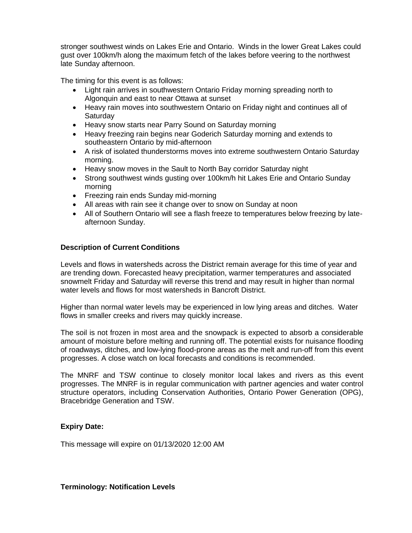stronger southwest winds on Lakes Erie and Ontario. Winds in the lower Great Lakes could gust over 100km/h along the maximum fetch of the lakes before veering to the northwest late Sunday afternoon.

The timing for this event is as follows:

- Light rain arrives in southwestern Ontario Friday morning spreading north to Algonquin and east to near Ottawa at sunset
- Heavy rain moves into southwestern Ontario on Friday night and continues all of Saturday
- Heavy snow starts near Parry Sound on Saturday morning
- Heavy freezing rain begins near Goderich Saturday morning and extends to southeastern Ontario by mid-afternoon
- A risk of isolated thunderstorms moves into extreme southwestern Ontario Saturday morning.
- Heavy snow moves in the Sault to North Bay corridor Saturday night
- Strong southwest winds gusting over 100km/h hit Lakes Erie and Ontario Sunday morning
- Freezing rain ends Sunday mid-morning
- All areas with rain see it change over to snow on Sunday at noon
- All of Southern Ontario will see a flash freeze to temperatures below freezing by lateafternoon Sunday.

### **Description of Current Conditions**

Levels and flows in watersheds across the District remain average for this time of year and are trending down. Forecasted heavy precipitation, warmer temperatures and associated snowmelt Friday and Saturday will reverse this trend and may result in higher than normal water levels and flows for most watersheds in Bancroft District.

Higher than normal water levels may be experienced in low lying areas and ditches. Water flows in smaller creeks and rivers may quickly increase.

The soil is not frozen in most area and the snowpack is expected to absorb a considerable amount of moisture before melting and running off. The potential exists for nuisance flooding of roadways, ditches, and low-lying flood-prone areas as the melt and run-off from this event progresses. A close watch on local forecasts and conditions is recommended.

The MNRF and TSW continue to closely monitor local lakes and rivers as this event progresses. The MNRF is in regular communication with partner agencies and water control structure operators, including Conservation Authorities, Ontario Power Generation (OPG), Bracebridge Generation and TSW.

### **Expiry Date:**

This message will expire on 01/13/2020 12:00 AM

**Terminology: Notification Levels**